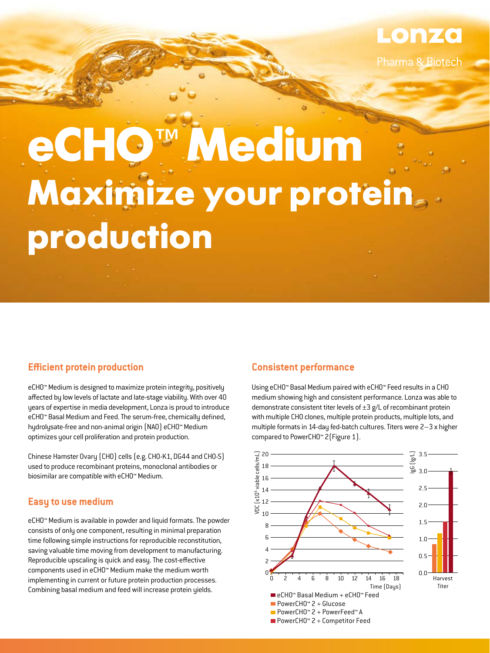

# **eCHO™ Medium Maximize your protein production**

# **Efficient protein production**

eCHO™ Medium is designed to maximize protein integrity, positively affected by low levels of lactate and late-stage viability. With over 40 years of expertise in media development, Lonza is proud to introduce eCHO™ Basal Medium and Feed. The serum-free, chemically defined, hydrolysate-free and non-animal origin (NAO) eCHO™ Medium optimizes your cell proliferation and protein production.

Chinese Hamster Ovary (CHO) cells (e.g. CHO-K1, DG44 and CHO-S) used to produce recombinant proteins, monoclonal antibodies or biosimilar are compatible with eCHO™ Medium.

# **Easy to use medium**

eCHO™ Medium is available in powder and liquid formats. The powder consists of only one component, resulting in minimal preparation time following simple instructions for reproducible reconstitution, saving valuable time moving from development to manufacturing. Reproducible upscaling is quick and easy. The cost-effective components used in eCHO™ Medium make the medium worth implementing in current or future protein production processes. Combining basal medium and feed will increase protein yields.

# **Consistent performance**

Using eCHO™ Basal Medium paired with eCHO™ Feed results in a CHO medium showing high and consistent performance. Lonza was able to demonstrate consistent titer levels of  $\pm 3$  g/L of recombinant protein with multiple CHO clones, multiple protein products, multiple lots, and multiple formats in 14-day fed-batch cultures. Titers were 2–3 x higher compared to PowerCHO™ 2(Figure 1).